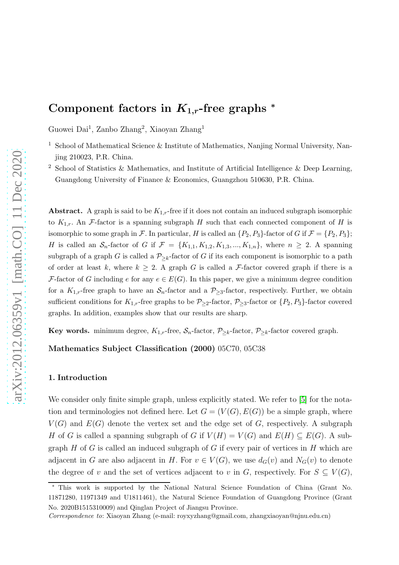# Component factors in  $K_{1,r}$ -free graphs  $*$

Guowei Dai<sup>1</sup>, Zanbo Zhang<sup>2</sup>, Xiaoyan Zhang<sup>1</sup>

- $^1\,$  School of Mathematical Science & Institute of Mathematics, Nanjing Normal University, Nanjing 210023, P.R. China.
- <sup>2</sup> School of Statistics & Mathematics, and Institute of Artificial Intelligence & Deep Learning, Guangdong University of Finance & Economics, Guangzhou 510630, P.R. China.

Abstract. A graph is said to be  $K_{1,r}$ -free if it does not contain an induced subgraph isomorphic to  $K_{1,r}$ . An F-factor is a spanning subgraph H such that each connected component of H is isomorphic to some graph in F. In particular, H is called an  $\{P_2, P_3\}$ -factor of G if  $\mathcal{F} = \{P_2, P_3\}$ ; H is called an  $S_n$ -factor of G if  $\mathcal{F} = \{K_{1,1}, K_{1,2}, K_{1,3}, ..., K_{1,n}\}\)$ , where  $n \geq 2$ . A spanning subgraph of a graph G is called a  $\mathcal{P}_{\geq k}$ -factor of G if its each component is isomorphic to a path of order at least k, where  $k \geq 2$ . A graph G is called a F-factor covered graph if there is a F-factor of G including e for any  $e \in E(G)$ . In this paper, we give a minimum degree condition for a  $K_{1,r}$ -free graph to have an  $S_n$ -factor and a  $P_{\geq 3}$ -factor, respectively. Further, we obtain sufficient conditions for  $K_{1,r}$ -free graphs to be  $\mathcal{P}_{\geq 2}$ -factor,  $\mathcal{P}_{\geq 3}$ -factor or  $\{P_2, P_3\}$ -factor covered graphs. In addition, examples show that our results are sharp.

Key words. minimum degree,  $K_{1,r}$ -free,  $S_n$ -factor,  $\mathcal{P}_{\geq k}$ -factor,  $\mathcal{P}_{\geq k}$ -factor covered graph.

Mathematics Subject Classification (2000) 05C70, 05C38

# 1. Introduction

We consider only finite simple graph, unless explicitly stated. We refer to [\[5\]](#page-10-0) for the notation and terminologies not defined here. Let  $G = (V(G), E(G))$  be a simple graph, where  $V(G)$  and  $E(G)$  denote the vertex set and the edge set of G, respectively. A subgraph H of G is called a spanning subgraph of G if  $V(H) = V(G)$  and  $E(H) \subseteq E(G)$ . A subgraph  $H$  of  $G$  is called an induced subgraph of  $G$  if every pair of vertices in  $H$  which are adjacent in G are also adjacent in H. For  $v \in V(G)$ , we use  $d_G(v)$  and  $N_G(v)$  to denote the degree of v and the set of vertices adjacent to v in G, respectively. For  $S \subseteq V(G)$ ,

<sup>∗</sup> This work is supported by the National Natural Science Foundation of China (Grant No. 11871280, 11971349 and U1811461), the Natural Science Foundation of Guangdong Province (Grant No. 2020B1515310009) and Qinglan Project of Jiangsu Province.

Correspondence to: Xiaoyan Zhang (e-mail: royxyzhang@gmail.com, zhangxiaoyan@njnu.edu.cn)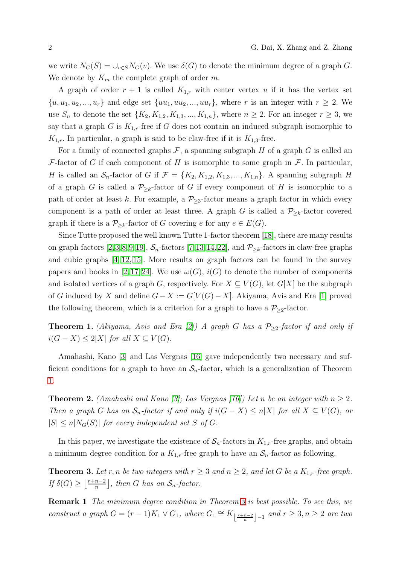we write  $N_G(S) = \bigcup_{v \in S} N_G(v)$ . We use  $\delta(G)$  to denote the minimum degree of a graph G. We denote by  $K_m$  the complete graph of order m.

A graph of order  $r + 1$  is called  $K_{1,r}$  with center vertex u if it has the vertex set  $\{u, u_1, u_2, \ldots, u_r\}$  and edge set  $\{uu_1, uu_2, \ldots, uu_r\}$ , where r is an integer with  $r \geq 2$ . We use  $S_n$  to denote the set  $\{K_2, K_{1,2}, K_{1,3}, ..., K_{1,n}\}$ , where  $n \geq 2$ . For an integer  $r \geq 3$ , we say that a graph G is  $K_{1,r}$ -free if G does not contain an induced subgraph isomorphic to  $K_{1,r}$ . In particular, a graph is said to be claw-free if it is  $K_{1,3}$ -free.

For a family of connected graphs  $\mathcal F$ , a spanning subgraph H of a graph G is called an F-factor of G if each component of H is isomorphic to some graph in  $\mathcal F$ . In particular, H is called an  $S_n$ -factor of G if  $\mathcal{F} = \{K_2, K_{1,2}, K_{1,3}, ..., K_{1,n}\}\$ . A spanning subgraph H of a graph G is called a  $\mathcal{P}_{\geq k}$ -factor of G if every component of H is isomorphic to a path of order at least k. For example, a  $P_{\geq 3}$ -factor means a graph factor in which every component is a path of order at least three. A graph G is called a  $P_{\geq k}$ -factor covered graph if there is a  $P_{\geq k}$ -factor of G covering e for any  $e \in E(G)$ .

Since Tutte proposed the well known Tutte 1-factor theorem [\[18\]](#page-11-0), there are many results on graph factors [\[2,](#page-10-1)[3,](#page-10-2)[8,](#page-11-1)[9,](#page-11-2)[19\]](#page-11-3),  $S_n$ -factors [\[7,](#page-11-4)[13,](#page-11-5)[14,](#page-11-6)[22\]](#page-11-7), and  $P_{\geq k}$ -factors in claw-free graphs and cubic graphs [\[4,](#page-10-3) [12,](#page-11-8) [15\]](#page-11-9). More results on graph factors can be found in the survey papers and books in [\[2,](#page-10-1) [17,](#page-11-10) [24\]](#page-12-0). We use  $\omega(G)$ ,  $i(G)$  to denote the number of components and isolated vertices of a graph G, respectively. For  $X \subseteq V(G)$ , let  $G[X]$  be the subgraph of G induced by X and define  $G - X := G[V(G) - X]$ . Akiyama, Avis and Era [\[1\]](#page-10-4) proved the following theorem, which is a criterion for a graph to have a  $P_{\geq 2}$ -factor.

<span id="page-1-0"></span>**Theorem 1.** (Akiyama, Avis and Era [\[2\]](#page-10-1)) A graph G has a  $\mathcal{P}_{\geq 2}$ -factor if and only if  $i(G - X) \leq 2|X|$  for all  $X \subseteq V(G)$ .

Amahashi, Kano [\[3\]](#page-10-2) and Las Vergnas [\[16\]](#page-11-11) gave independently two necessary and sufficient conditions for a graph to have an  $S_n$ -factor, which is a generalization of Theorem [1.](#page-1-0)

**Theorem 2.** (Amahashi and Kano [\[3\]](#page-10-2); Las Vergnas [\[16\]](#page-11-11)) Let n be an integer with  $n \geq 2$ . Then a graph G has an  $S_n$ -factor if and only if  $i(G - X) \leq n|X|$  for all  $X \subseteq V(G)$ , or  $|S| \leq n|N_G(S)|$  for every independent set S of G.

<span id="page-1-1"></span>In this paper, we investigate the existence of  $S_n$ -factors in  $K_{1,r}$ -free graphs, and obtain a minimum degree condition for a  $K_{1,r}$ -free graph to have an  $S_n$ -factor as following.

**Theorem 3.** Let r, n be two integers with  $r \geq 3$  and  $n \geq 2$ , and let G be a  $K_{1,r}$ -free graph. If  $\delta(G) \geq \left\lfloor \frac{r+n-2}{n} \right\rfloor$  $\left\lfloor \frac{n-2}{n} \right\rfloor$ , then G has an  $S_n$ -factor.

Remark 1 The minimum degree condition in Theorem [3](#page-1-1) is best possible. To see this, we construct a graph  $G = (r - 1)K_1 \vee G_1$ , where  $G_1 \cong K_{\lfloor \frac{r+n-2}{n} \rfloor-1}$  and  $r \geq 3, n \geq 2$  are two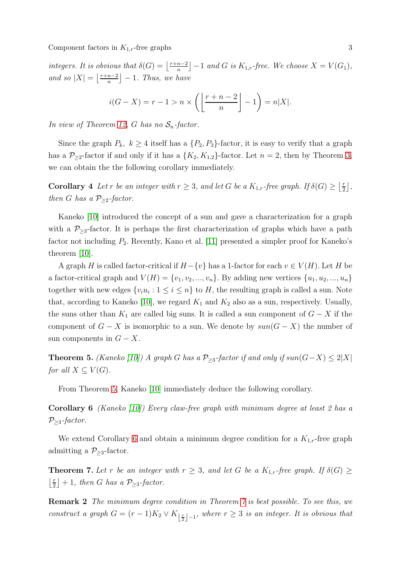integers. It is obvious that  $\delta(G) = \left| \frac{r+n-2}{n} \right|$  $\left[\frac{n-2}{n}\right] - 1$  and G is  $K_{1,r}$ -free. We choose  $X = V(G_1)$ , and so  $|X| = \left\lfloor \frac{r+n-2}{n} \right\rfloor$  $\left\lfloor \frac{n-2}{n} \right\rfloor - 1$ . Thus, we have

$$
i(G - X) = r - 1 > n \times \left( \left\lfloor \frac{r + n - 2}{n} \right\rfloor - 1 \right) = n|X|.
$$

In view of Theorem [12,](#page-4-0) G has no  $S_n$ -factor.

Since the graph  $P_k$ ,  $k \geq 4$  itself has a  $\{P_2, P_3\}$ -factor, it is easy to verify that a graph has a  $\mathcal{P}_{\geq 2}$ -factor if and only if it has a  $\{K_2, K_{1,2}\}$ -factor. Let  $n = 2$ , then by Theorem [3,](#page-1-1) we can obtain the the following corollary immediately.

**Corollary** 4 Let r be an integer with  $r \geq 3$ , and let G be a  $K_{1,r}$ -free graph. If  $\delta(G) \geq \left\lfloor \frac{r}{2} \right\rfloor$  $\frac{r}{2}$ , then G has a  $P_{\geq 2}$ -factor.

Kaneko [\[10\]](#page-11-12) introduced the concept of a sun and gave a characterization for a graph with a  $P_{\geq 3}$ -factor. It is perhaps the first characterization of graphs which have a path factor not including  $P_2$ . Recently, Kano et al. [\[11\]](#page-11-13) presented a simpler proof for Kaneko's theorem [\[10\]](#page-11-12).

A graph H is called factor-critical if  $H-\{v\}$  has a 1-factor for each  $v \in V(H)$ . Let H be a factor-critical graph and  $V(H) = \{v_1, v_2, ..., v_n\}$ . By adding new vertices  $\{u_1, u_2, ..., u_n\}$ together with new edges  $\{v_i u_i : 1 \le i \le n\}$  to H, the resulting graph is called a sun. Note that, according to Kaneko [\[10\]](#page-11-12), we regard  $K_1$  and  $K_2$  also as a sun, respectively. Usually, the suns other than  $K_1$  are called big suns. It is called a sun component of  $G - X$  if the component of  $G - X$  is isomorphic to a sun. We denote by  $sun(G - X)$  the number of sun components in  $G - X$ .

<span id="page-2-0"></span>**Theorem 5.** (Kaneko [\[10\]](#page-11-12)) A graph G has a  $P_{\geq 3}$ -factor if and only if sun(G−X) ≤ 2|X| for all  $X \subseteq V(G)$ .

<span id="page-2-1"></span>From Theorem [5,](#page-2-0) Kaneko [\[10\]](#page-11-12) immediately deduce the following corollary.

**Corollary 6** (Kaneko [\[10\]](#page-11-12)) Every claw-free graph with minimum degree at least 2 has a  $P_{\geq 3}$ -factor.

<span id="page-2-2"></span>We extend Corollary [6](#page-2-1) and obtain a minimum degree condition for a  $K_{1,r}$ -free graph admitting a  $P_{\geq 3}$ -factor.

**Theorem 7.** Let r be an integer with  $r \geq 3$ , and let G be a  $K_{1,r}$ -free graph. If  $\delta(G) \geq$  $\frac{r}{2}$  $\lfloor \frac{r}{2} \rfloor + 1$ , then G has a  $\mathcal{P}_{\geq 3}$ -factor.

Remark 2 The minimum degree condition in Theorem [7](#page-2-2) is best possible. To see this, we construct a graph  $G = (r-1)K_2 \vee K_{\lfloor \frac{r}{2} \rfloor - 1}$ , where  $r \geq 3$  is an integer. It is obvious that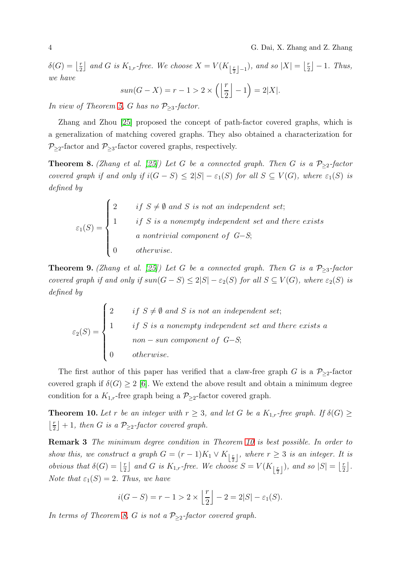$\delta(G) = \left\lfloor \frac{r}{2} \right\rfloor$  $\lfloor \frac{r}{2} \rfloor$  and G is  $K_{1,r}$ -free. We choose  $X = V(K_{\lfloor \frac{r}{2} \rfloor - 1})$ , and so  $|X| = \lfloor \frac{r}{2} \rfloor$  $\lfloor \frac{r}{2} \rfloor - 1$ . Thus, we have

$$
sun(G - X) = r - 1 > 2 \times \left( \left\lfloor \frac{r}{2} \right\rfloor - 1 \right) = 2|X|.
$$

In view of Theorem [5,](#page-2-0) G has no  $P_{\geq 3}$ -factor.

Zhang and Zhou [\[25\]](#page-12-1) proposed the concept of path-factor covered graphs, which is a generalization of matching covered graphs. They also obtained a characterization for  $P_{\geq 2}$ -factor and  $P_{\geq 3}$ -factor covered graphs, respectively.

<span id="page-3-1"></span>**Theorem 8.** (Zhang et al. [\[25\]](#page-12-1)) Let G be a connected graph. Then G is a  $\mathcal{P}_{\geq 2}$ -factor covered graph if and only if  $i(G - S) \le 2|S| - \varepsilon_1(S)$  for all  $S \subseteq V(G)$ , where  $\varepsilon_1(S)$  is defined by

$$
\varepsilon_1(S) = \begin{cases}\n2 & \text{if } S \neq \emptyset \text{ and } S \text{ is not an independent set;} \\
1 & \text{if } S \text{ is a nonempty independent set and there exists a nontrivial component of } G-S; \\
0 & \text{otherwise.}\n\end{cases}
$$

<span id="page-3-2"></span>**Theorem 9.** (Zhang et al. [\[25\]](#page-12-1)) Let G be a connected graph. Then G is a  $P_{\geq 3}$ -factor covered graph if and only if  $sun(G-S) \leq 2|S| - \varepsilon_2(S)$  for all  $S \subseteq V(G)$ , where  $\varepsilon_2(S)$  is defined by

$$
\varepsilon_2(S) = \begin{cases}\n2 & \text{if } S \neq \emptyset \text{ and } S \text{ is not an independent set;} \\
1 & \text{if } S \text{ is a nonempty independent set and there exists a } \\
 & \text{non-sum component of } G-S; \\
0 & \text{otherwise.} \n\end{cases}
$$

The first author of this paper has verified that a claw-free graph G is a  $P_{\geq 2}$ -factor covered graph if  $\delta(G) \geq 2$  [\[6\]](#page-10-5). We extend the above result and obtain a minimum degree condition for a  $K_{1,r}$ -free graph being a  $\mathcal{P}_{\geq 2}$ -factor covered graph.

<span id="page-3-0"></span>**Theorem 10.** Let r be an integer with  $r \geq 3$ , and let G be a  $K_{1,r}$ -free graph. If  $\delta(G) \geq$  $\frac{r}{2}$  $\lfloor \frac{r}{2} \rfloor + 1$ , then G is a  $\mathcal{P}_{\geq 2}$ -factor covered graph.

Remark 3 The minimum degree condition in Theorem [10](#page-3-0) is best possible. In order to show this, we construct a graph  $G = (r-1)K_1 \vee K_{\lfloor \frac{r}{2} \rfloor}$ , where  $r \geq 3$  is an integer. It is *obvious that*  $\delta(G) = \left| \frac{r}{2} \right|$  $\lfloor \frac{r}{2} \rfloor$  and G is  $K_{1,r}$ -free. We choose  $S = V(K_{\lfloor \frac{r}{2} \rfloor})$ , and so  $|S| = \lfloor \frac{r}{2} \rfloor$  $\frac{r}{2}$ . Note that  $\varepsilon_1(S) = 2$ . Thus, we have

$$
i(G - S) = r - 1 > 2 \times \left\lfloor \frac{r}{2} \right\rfloor - 2 = 2|S| - \varepsilon_1(S).
$$

In terms of Theorem [8,](#page-3-1) G is not a  $P_{\geq 2}$ -factor covered graph.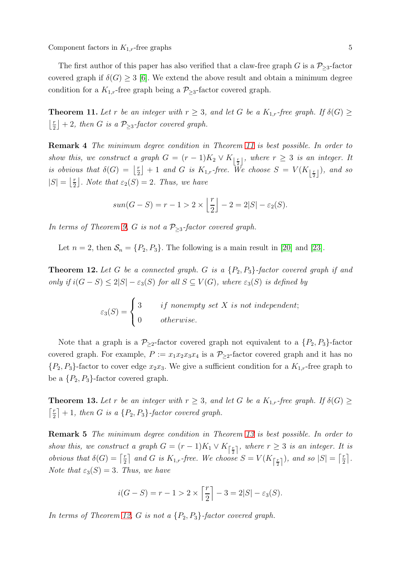Component factors in  $K_{1,r}$ -free graphs 5

<span id="page-4-1"></span>The first author of this paper has also verified that a claw-free graph G is a  $P_{\geq 3}$ -factor covered graph if  $\delta(G) \geq 3$  [\[6\]](#page-10-5). We extend the above result and obtain a minimum degree condition for a  $K_{1,r}$ -free graph being a  $\mathcal{P}_{\geq 3}$ -factor covered graph.

**Theorem 11.** Let r be an integer with  $r \geq 3$ , and let G be a  $K_{1,r}$ -free graph. If  $\delta(G) \geq$  $\frac{r}{2}$  $\left\lfloor \frac{r}{2} \right\rfloor + 2$ , then G is a  $\mathcal{P}_{\geq 3}$ -factor covered graph.

Remark 4 The minimum degree condition in Theorem [11](#page-4-1) is best possible. In order to show this, we construct a graph  $G = (r-1)K_2 \vee K_{\lfloor \frac{r}{2} \rfloor}$ , where  $r \geq 3$  is an integer. It is obvious that  $\delta(G) = \left| \frac{r}{2} \right|$  $\left\{ \frac{r}{2} \right\} + 1$  and G is  $K_{1,r}$ -free. We choose  $S = V(K_{\left\lfloor{\frac{r}{2}}\right\rfloor}),$  and so  $|S| = \left\lfloor \frac{r}{2} \right\rfloor$  $\lfloor \frac{r}{2} \rfloor$ . Note that  $\varepsilon_2(S) = 2$ . Thus, we have

$$
sun(G - S) = r - 1 > 2 \times \left\lfloor \frac{r}{2} \right\rfloor - 2 = 2|S| - \varepsilon_2(S).
$$

In terms of Theorem [9,](#page-3-2) G is not a  $P_{\geq 3}$ -factor covered graph.

<span id="page-4-0"></span>Let  $n = 2$ , then  $S_n = \{P_2, P_3\}$ . The following is a main result in [\[20\]](#page-11-14) and [\[23\]](#page-11-15).

**Theorem 12.** Let G be a connected graph. G is a  $\{P_2, P_3\}$ -factor covered graph if and only if  $i(G - S) \leq 2|S| - \varepsilon_3(S)$  for all  $S \subseteq V(G)$ , where  $\varepsilon_3(S)$  is defined by

$$
\varepsilon_3(S) = \begin{cases} 3 & \text{if nonempty set } X \text{ is not independent;} \\ 0 & \text{otherwise.} \end{cases}
$$

Note that a graph is a  $P_{\geq 2}$ -factor covered graph not equivalent to a  $\{P_2, P_3\}$ -factor covered graph. For example,  $P := x_1x_2x_3x_4$  is a  $P_{\geq 2}$ -factor covered graph and it has no  $\{P_2, P_3\}$ -factor to cover edge  $x_2x_3$ . We give a sufficient condition for a  $K_{1,r}$ -free graph to be a  $\{P_2, P_3\}$ -factor covered graph.

<span id="page-4-2"></span>**Theorem 13.** Let r be an integer with  $r \geq 3$ , and let G be a  $K_{1,r}$ -free graph. If  $\delta(G) \geq$  $\lceil \frac{r}{2} \rceil$  $\lfloor \frac{r}{2} \rfloor + 1$ , then G is a  $\{P_2, P_3\}$ -factor covered graph.

Remark 5 The minimum degree condition in Theorem [13](#page-4-2) is best possible. In order to show this, we construct a graph  $G = (r-1)K_1 \vee K_{\lceil \frac{r}{2} \rceil}$ , where  $r \geq 3$  is an integer. It is *obvious that*  $\delta(G) = \lceil \frac{r}{2} \rceil$  $\lfloor \frac{r}{2} \rfloor$  and G is  $K_{1,r}$ -free. We choose  $S = V(K_{\lceil \frac{r}{2} \rceil})$ , and so  $|S| = \lceil \frac{r}{2} \rceil$  $\frac{r}{2}$ . Note that  $\varepsilon_3(S) = 3$ . Thus, we have

$$
i(G - S) = r - 1 > 2 \times \left\lceil \frac{r}{2} \right\rceil - 3 = 2|S| - \varepsilon_3(S).
$$

In terms of Theorem [12,](#page-4-0) G is not a  $\{P_2, P_3\}$ -factor covered graph.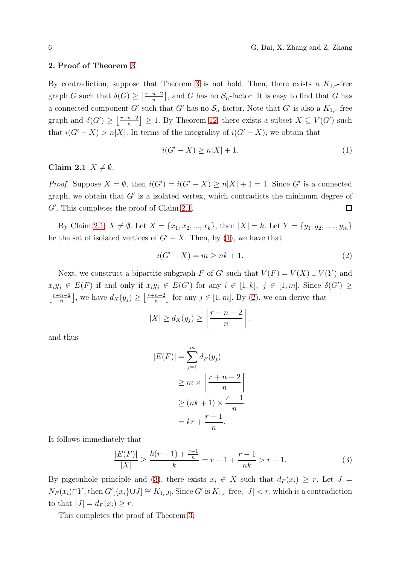#### 2. Proof of Theorem [3](#page-1-1)

By contradiction, suppose that Theorem [3](#page-1-1) is not hold. Then, there exists a  $K_{1,r}$ -free graph G such that  $\delta(G) \geq \left\lfloor \frac{r+n-2}{n} \right\rfloor$  $\left[\frac{n-2}{n}\right]$ , and G has no  $S_n$ -factor. It is easy to find that G has a connected component G' such that G' has no  $S_n$ -factor. Note that G' is also a  $K_{1,r}$ -free graph and  $\delta(G') \geq \left\lfloor \frac{r+n-2}{n} \right\rfloor$  $\left\lfloor \frac{n-2}{n} \right\rfloor \geq 1$ . By Theorem [12,](#page-4-0) there exists a subset  $X \subseteq V(G')$  such that  $i(G' - X) > n|X|$ . In terms of the integrality of  $i(G' - X)$ , we obtain that

<span id="page-5-1"></span>
$$
i(G'-X) \ge n|X| + 1. \tag{1}
$$

## <span id="page-5-0"></span>Claim 2.1  $X \neq \emptyset$ .

*Proof.* Suppose  $X = \emptyset$ , then  $i(G') = i(G' - X) \ge n|X| + 1 = 1$ . Since G' is a connected graph, we obtain that  $G'$  is a isolated vertex, which contradicts the minimum degree of G′ . This completes the proof of Claim [2.1.](#page-5-0)  $\Box$ 

By Claim [2.1,](#page-5-0)  $X \neq \emptyset$ . Let  $X = \{x_1, x_2, ..., x_k\}$ , then  $|X| = k$ . Let  $Y = \{y_1, y_2, ..., y_m\}$ be the set of isolated vertices of  $G' - X$ . Then, by [\(1\)](#page-5-1), we have that

<span id="page-5-2"></span>
$$
i(G'-X) = m \ge nk + 1.
$$
\n<sup>(2)</sup>

Next, we construct a bipartite subgraph F of G' such that  $V(F) = V(X) \cup V(Y)$  and  $x_iy_j \in E(F)$  if and only if  $x_iy_j \in E(G')$  for any  $i \in [1, k]$ ,  $j \in [1, m]$ . Since  $\delta(G') \geq$  $\frac{r+n-2}{n}$  $\left\lfloor \frac{n-2}{n} \right\rfloor$ , we have  $d_X(y_j) \geq \left\lfloor \frac{r+n-2}{n} \right\rfloor$  $\left[\frac{n-2}{n}\right]$  for any  $j \in [1, m]$ . By [\(2\)](#page-5-2), we can derive that

$$
|X| \ge d_X(y_j) \ge \left\lfloor \frac{r+n-2}{n} \right\rfloor,
$$

and thus

$$
|E(F)| = \sum_{j=1}^{m} d_F(y_j)
$$
  
\n
$$
\ge m \times \left\lfloor \frac{r+n-2}{n} \right\rfloor
$$
  
\n
$$
\ge (nk+1) \times \frac{r-1}{n}
$$
  
\n
$$
= kr + \frac{r-1}{n}.
$$

It follows immediately that

<span id="page-5-3"></span>
$$
\frac{|E(F)|}{|X|} \ge \frac{k(r-1) + \frac{r-1}{n}}{k} = r - 1 + \frac{r-1}{nk} > r - 1.
$$
 (3)

By pigeonhole principle and [\(3\)](#page-5-3), there exists  $x_i \in X$  such that  $d_F(x_i) \geq r$ . Let  $J =$  $N_F(x_i) \cap Y$ , then  $G'[\{x_i\} \cup J] \cong K_{1,|J|}$ . Since  $G'$  is  $K_{1,r}$ -free,  $|J| < r$ , which is a contradiction to that  $|J| = d_F(x_i) \geq r$ .

This completes the proof of Theorem [3.](#page-1-1)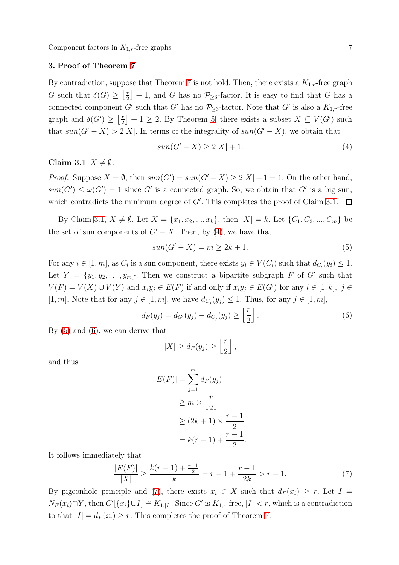Component factors in  $K_{1,r}$ -free graphs 7

#### 3. Proof of Theorem [7](#page-2-2)

By contradiction, suppose that Theorem [7](#page-2-2) is not hold. Then, there exists a  $K_{1,r}$ -free graph G such that  $\delta(G) \geq \left| \frac{r}{2} \right|$  $\lfloor \frac{r}{2} \rfloor + 1$ , and G has no  $\mathcal{P}_{\geq 3}$ -factor. It is easy to find that G has a connected component G' such that G' has no  $\mathcal{P}_{\geq 3}$ -factor. Note that G' is also a  $K_{1,r}$ -free graph and  $\delta(G') \geq \left| \frac{r}{2} \right|$  $\lfloor \frac{r}{2} \rfloor + 1 \geq 2$ . By Theorem [5,](#page-2-0) there exists a subset  $X \subseteq V(G')$  such that  $sun(G' - X) > 2|X|$ . In terms of the integrality of  $sun(G' - X)$ , we obtain that

<span id="page-6-1"></span>
$$
sun(G' - X) \ge 2|X| + 1.
$$
\n<sup>(4)</sup>

## <span id="page-6-0"></span>Claim 3.1  $X \neq \emptyset$ .

*Proof.* Suppose  $X = \emptyset$ , then  $sun(G') = sun(G' - X) \ge 2|X| + 1 = 1$ . On the other hand,  $sun(G') \leq \omega(G') = 1$  since G' is a connected graph. So, we obtain that G' is a big sun, which contradicts the minimum degree of  $G'$ . This completes the proof of Claim [3.1.](#page-6-0)  $\Box$ 

By Claim [3.1,](#page-6-0)  $X \neq \emptyset$ . Let  $X = \{x_1, x_2, ..., x_k\}$ , then  $|X| = k$ . Let  $\{C_1, C_2, ..., C_m\}$  be the set of sun components of  $G' - X$ . Then, by [\(4\)](#page-6-1), we have that

<span id="page-6-2"></span>
$$
sun(G' - X) = m \ge 2k + 1.
$$
\n<sup>(5)</sup>

For any  $i \in [1, m]$ , as  $C_i$  is a sun component, there exists  $y_i \in V(C_i)$  such that  $d_{C_i}(y_i) \leq 1$ . Let  $Y = \{y_1, y_2, \ldots, y_m\}$ . Then we construct a bipartite subgraph F of G' such that  $V(F) = V(X) \cup V(Y)$  and  $x_i y_j \in E(F)$  if and only if  $x_i y_j \in E(G')$  for any  $i \in [1, k]$ ,  $j \in$ [1, m]. Note that for any  $j \in [1, m]$ , we have  $d_{C_j}(y_j) \leq 1$ . Thus, for any  $j \in [1, m]$ ,

<span id="page-6-3"></span>
$$
d_F(y_j) = d_{G'}(y_j) - d_{C_j}(y_j) \ge \left\lfloor \frac{r}{2} \right\rfloor.
$$
 (6)

By [\(5\)](#page-6-2) and [\(6\)](#page-6-3), we can derive that

$$
|X| \geq d_F(y_j) \geq \left\lfloor \frac{r}{2} \right\rfloor,
$$

and thus

$$
|E(F)| = \sum_{j=1}^{m} d_F(y_j)
$$
  
\n
$$
\geq m \times \left\lfloor \frac{r}{2} \right\rfloor
$$
  
\n
$$
\geq (2k+1) \times \frac{r-1}{2}
$$
  
\n
$$
= k(r-1) + \frac{r-1}{2}.
$$

It follows immediately that

<span id="page-6-4"></span>
$$
\frac{|E(F)|}{|X|} \ge \frac{k(r-1) + \frac{r-1}{2}}{k} = r - 1 + \frac{r-1}{2k} > r - 1.
$$
 (7)

By pigeonhole principle and [\(7\)](#page-6-4), there exists  $x_i \in X$  such that  $d_F(x_i) \geq r$ . Let  $I =$  $N_F(x_i) \cap Y$ , then  $G'[\{x_i\} \cup I] \cong K_{1,|I|}$ . Since  $G'$  is  $K_{1,r}$ -free,  $|I| < r$ , which is a contradiction to that  $|I| = d_F(x_i) \ge r$ . This completes the proof of Theorem [7.](#page-2-2)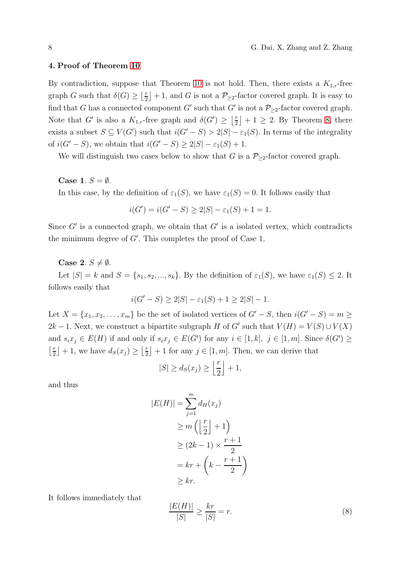#### 4. Proof of Theorem [10](#page-3-0)

By contradiction, suppose that Theorem [10](#page-3-0) is not hold. Then, there exists a  $K_{1,r}$ -free graph G such that  $\delta(G) \geq \left| \frac{r}{2} \right|$  $\lfloor \frac{r}{2} \rfloor + 1$ , and G is not a  $P_{\geq 2}$ -factor covered graph. It is easy to find that G has a connected component G' such that G' is not a  $\mathcal{P}_{\geq 2}$ -factor covered graph. Note that G' is also a  $K_{1,r}$ -free graph and  $\delta(G') \geq \left\lfloor \frac{r}{2} \right\rfloor$  $\lfloor \frac{r}{2} \rfloor + 1 \geq 2$ . By Theorem [8,](#page-3-1) there exists a subset  $S \subseteq V(G')$  such that  $i(G'-S) > 2|S| - \varepsilon_1(S)$ . In terms of the integrality of  $i(G'-S)$ , we obtain that  $i(G'-S) \geq 2|S| - \varepsilon_1(S) + 1$ .

We will distinguish two cases below to show that G is a  $\mathcal{P}_{\geq 2}$ -factor covered graph.

#### Case 1.  $S = \emptyset$ .

In this case, by the definition of  $\varepsilon_1(S)$ , we have  $\varepsilon_1(S) = 0$ . It follows easily that

$$
i(G') = i(G' - S) \ge 2|S| - \varepsilon_1(S) + 1 = 1.
$$

Since  $G'$  is a connected graph, we obtain that  $G'$  is a isolated vertex, which contradicts the minimum degree of  $G'$ . This completes the proof of Case 1.

## Case 2.  $S \neq \emptyset$ .

Let  $|S| = k$  and  $S = \{s_1, s_2, ..., s_k\}$ . By the definition of  $\varepsilon_1(S)$ , we have  $\varepsilon_1(S) \leq 2$ . It follows easily that

$$
i(G' - S) \ge 2|S| - \varepsilon_1(S) + 1 \ge 2|S| - 1.
$$

Let  $X = \{x_1, x_2, \ldots, x_m\}$  be the set of isolated vertices of  $G' - S$ , then  $i(G' - S) = m \ge$ 2k − 1. Next, we construct a bipartite subgraph H of G' such that  $V(H) = V(S) \cup V(X)$ and  $s_i x_j \in E(H)$  if and only if  $s_i x_j \in E(G')$  for any  $i \in [1, k]$ ,  $j \in [1, m]$ . Since  $\delta(G') \geq$  $\frac{r}{2}$  $\lfloor \frac{r}{2} \rfloor + 1$ , we have  $d_S(x_j) \geq \lfloor \frac{r}{2} \rfloor$  $\lfloor \frac{r}{2} \rfloor + 1$  for any  $j \in [1, m]$ . Then, we can derive that

$$
|S| \ge d_S(x_j) \ge \left\lfloor \frac{r}{2} \right\rfloor + 1,
$$

and thus

$$
|E(H)| = \sum_{j=1}^{m} d_H(x_j)
$$
  
\n
$$
\geq m \left( \left\lfloor \frac{r}{2} \right\rfloor + 1 \right)
$$
  
\n
$$
\geq (2k - 1) \times \frac{r+1}{2}
$$
  
\n
$$
= kr + \left( k - \frac{r+1}{2} \right)
$$
  
\n
$$
\geq kr.
$$

It follows immediately that

<span id="page-7-0"></span>
$$
\frac{|E(H)|}{|S|} \ge \frac{kr}{|S|} = r.
$$
\n<sup>(8)</sup>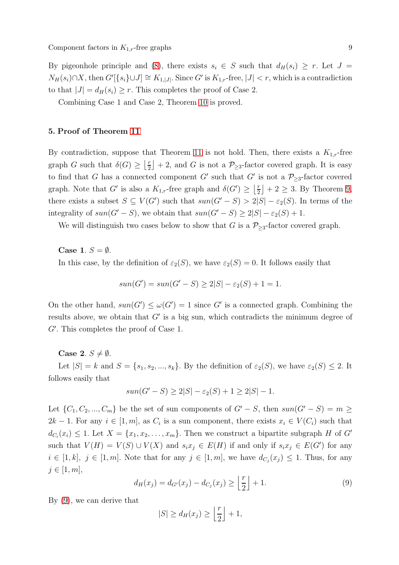By pigeonhole principle and [\(8\)](#page-7-0), there exists  $s_i \in S$  such that  $d_H(s_i) \geq r$ . Let  $J =$  $N_H(s_i) \cap X$ , then  $G'[\{s_i\} \cup J] \cong K_{1,|J|}$ . Since  $G'$  is  $K_{1,r}$ -free,  $|J| < r$ , which is a contradiction to that  $|J| = d_H(s_i) \geq r$ . This completes the proof of Case 2.

Combining Case 1 and Case 2, Theorem [10](#page-3-0) is proved.

# 5. Proof of Theorem [11](#page-4-1)

By contradiction, suppose that Theorem [11](#page-4-1) is not hold. Then, there exists a  $K_{1,r}$ -free graph G such that  $\delta(G) \geq \left\lfloor \frac{r}{2} \right\rfloor$  $\lfloor \frac{r}{2} \rfloor + 2$ , and G is not a  $\mathcal{P}_{\geq 3}$ -factor covered graph. It is easy to find that G has a connected component G' such that G' is not a  $\mathcal{P}_{\geq 3}$ -factor covered graph. Note that G' is also a  $K_{1,r}$ -free graph and  $\delta(G') \geq \left\lfloor \frac{r}{2} \right\rfloor$  $\lfloor \frac{r}{2} \rfloor + 2 \geq 3$ . By Theorem [9,](#page-3-2) there exists a subset  $S \subseteq V(G')$  such that  $sun(G'-S) > 2|S| - \varepsilon_2(S)$ . In terms of the integrality of  $sun(G' - S)$ , we obtain that  $sun(G' - S) \geq 2|S| - \varepsilon_2(S) + 1$ .

We will distinguish two cases below to show that G is a  $\mathcal{P}_{\geq 3}$ -factor covered graph.

Case 1.  $S = \emptyset$ .

In this case, by the definition of  $\varepsilon_2(S)$ , we have  $\varepsilon_2(S) = 0$ . It follows easily that

$$
sun(G') = sun(G' - S) \ge 2|S| - \varepsilon_2(S) + 1 = 1.
$$

On the other hand,  $sun(G') \leq \omega(G') = 1$  since G' is a connected graph. Combining the results above, we obtain that  $G'$  is a big sun, which contradicts the minimum degree of G′ . This completes the proof of Case 1.

Case 2.  $S \neq \emptyset$ .

Let  $|S| = k$  and  $S = \{s_1, s_2, ..., s_k\}$ . By the definition of  $\varepsilon_2(S)$ , we have  $\varepsilon_2(S) \leq 2$ . It follows easily that

$$
sun(G' - S) \ge 2|S| - \varepsilon_2(S) + 1 \ge 2|S| - 1.
$$

Let  $\{C_1, C_2, ..., C_m\}$  be the set of sun components of  $G' - S$ , then  $sun(G' - S) = m \ge$  $2k-1$ . For any  $i \in [1,m]$ , as  $C_i$  is a sun component, there exists  $x_i \in V(C_i)$  such that  $d_{C_i}(x_i) \leq 1$ . Let  $X = \{x_1, x_2, \ldots, x_m\}$ . Then we construct a bipartite subgraph H of G' such that  $V(H) = V(S) \cup V(X)$  and  $s_i x_j \in E(H)$  if and only if  $s_i x_j \in E(G')$  for any  $i \in [1, k], j \in [1, m]$ . Note that for any  $j \in [1, m]$ , we have  $d_{C_j}(x_j) \leq 1$ . Thus, for any  $j \in [1, m],$ 

<span id="page-8-0"></span>
$$
d_H(x_j) = d_{G'}(x_j) - d_{C_j}(x_j) \ge \left\lfloor \frac{r}{2} \right\rfloor + 1.
$$
 (9)

By [\(9\)](#page-8-0), we can derive that

$$
|S| \ge d_H(x_j) \ge \left\lfloor \frac{r}{2} \right\rfloor + 1,
$$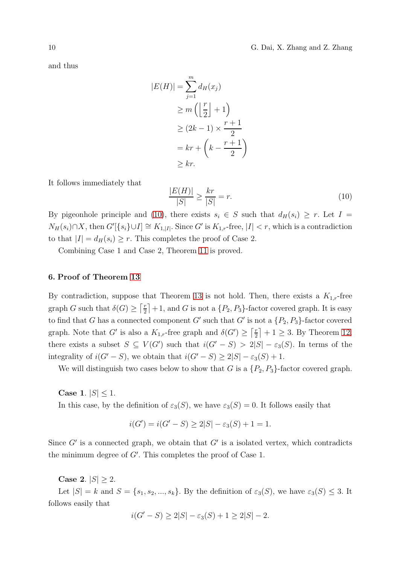and thus

$$
|E(H)| = \sum_{j=1}^{m} d_H(x_j)
$$
  
\n
$$
\ge m \left( \left\lfloor \frac{r}{2} \right\rfloor + 1 \right)
$$
  
\n
$$
\ge (2k - 1) \times \frac{r + 1}{2}
$$
  
\n
$$
= kr + \left( k - \frac{r + 1}{2} \right)
$$
  
\n
$$
\ge kr.
$$

It follows immediately that

<span id="page-9-0"></span>
$$
\frac{|E(H)|}{|S|} \ge \frac{kr}{|S|} = r.
$$
\n(10)

By pigeonhole principle and [\(10\)](#page-9-0), there exists  $s_i \in S$  such that  $d_H(s_i) \geq r$ . Let  $I =$  $N_H(s_i) \cap X$ , then  $G'[\{s_i\} \cup I] \cong K_{1,|I|}$ . Since  $G'$  is  $K_{1,r}$ -free,  $|I| < r$ , which is a contradiction to that  $|I| = d_H(s_i) \geq r$ . This completes the proof of Case 2.

Combining Case 1 and Case 2, Theorem [11](#page-4-1) is proved.

## 6. Proof of Theorem [13](#page-4-2)

By contradiction, suppose that Theorem [13](#page-4-2) is not hold. Then, there exists a  $K_{1,r}$ -free graph G such that  $\delta(G) \geq \lceil \frac{r}{2} \rceil$  $\lfloor \frac{r}{2} \rfloor + 1$ , and G is not a  $\{P_2, P_3\}$ -factor covered graph. It is easy to find that G has a connected component G' such that G' is not a  $\{P_2, P_3\}$ -factor covered graph. Note that G' is also a  $K_{1,r}$ -free graph and  $\delta(G') \geq \lceil \frac{r}{2} \rceil$  $\left\lfloor \frac{r}{2} \right\rfloor + 1 \geq 3$ . By Theorem [12,](#page-4-0) there exists a subset  $S \subseteq V(G')$  such that  $i(G'-S) > 2|S| - \varepsilon_3(S)$ . In terms of the integrality of  $i(G'-S)$ , we obtain that  $i(G'-S) \geq 2|S| - \varepsilon_3(S) + 1$ .

We will distinguish two cases below to show that G is a  $\{P_2, P_3\}$ -factor covered graph.

Case 1.  $|S|$  < 1. In this case, by the definition of  $\varepsilon_3(S)$ , we have  $\varepsilon_3(S) = 0$ . It follows easily that

$$
i(G') = i(G' - S) \ge 2|S| - \varepsilon_3(S) + 1 = 1.
$$

Since  $G'$  is a connected graph, we obtain that  $G'$  is a isolated vertex, which contradicts the minimum degree of  $G'$ . This completes the proof of Case 1.

**Case 2.**  $|S| \ge 2$ .

Let  $|S| = k$  and  $S = \{s_1, s_2, ..., s_k\}$ . By the definition of  $\varepsilon_3(S)$ , we have  $\varepsilon_3(S) \leq 3$ . It follows easily that

$$
i(G'-S) \ge 2|S| - \varepsilon_3(S) + 1 \ge 2|S| - 2.
$$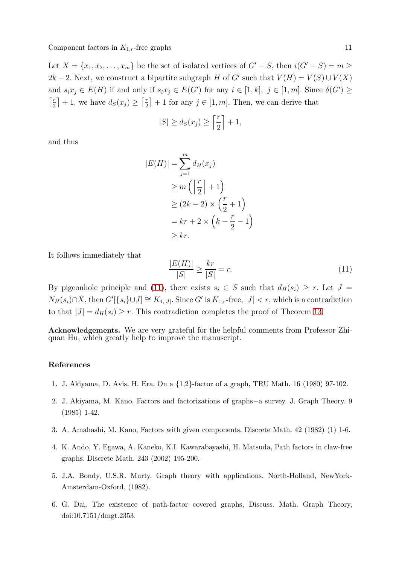Let  $X = \{x_1, x_2, \ldots, x_m\}$  be the set of isolated vertices of  $G' - S$ , then  $i(G' - S) = m \ge$ 2k − 2. Next, we construct a bipartite subgraph H of G' such that  $V(H) = V(S) \cup V(X)$ and  $s_ix_j \in E(H)$  if and only if  $s_ix_j \in E(G')$  for any  $i \in [1, k]$ ,  $j \in [1, m]$ . Since  $\delta(G') \geq$  $\lceil \frac{r}{2} \rceil$  $\left\lfloor \frac{r}{2} \right\rfloor + 1$ , we have  $d_S(x_j) \geq \left\lceil \frac{r}{2} \right\rceil$  $\lfloor \frac{r}{2} \rfloor + 1$  for any  $j \in [1, m]$ . Then, we can derive that

$$
|S| \ge d_S(x_j) \ge \left\lceil \frac{r}{2} \right\rceil + 1,
$$

and thus

$$
|E(H)| = \sum_{j=1}^{m} d_H(x_j)
$$
  
\n
$$
\geq m \left( \left\lceil \frac{r}{2} \right\rceil + 1 \right)
$$
  
\n
$$
\geq (2k - 2) \times \left( \frac{r}{2} + 1 \right)
$$
  
\n
$$
= kr + 2 \times \left( k - \frac{r}{2} - 1 \right)
$$
  
\n
$$
\geq kr.
$$

It follows immediately that

<span id="page-10-6"></span>
$$
\frac{|E(H)|}{|S|} \ge \frac{kr}{|S|} = r.
$$
\n(11)

By pigeonhole principle and [\(11\)](#page-10-6), there exists  $s_i \in S$  such that  $d_H(s_i) \geq r$ . Let  $J =$  $N_H(s_i) \cap X$ , then  $G'[\{s_i\} \cup J] \cong K_{1,|J|}$ . Since  $G'$  is  $K_{1,r}$ -free,  $|J| < r$ , which is a contradiction to that  $|J| = d_H(s_i) \ge r$ . This contradiction completes the proof of Theorem [13.](#page-4-2)

Acknowledgements. We are very grateful for the helpful comments from Professor Zhiquan Hu, which greatly help to improve the manuscript.

#### <span id="page-10-4"></span>References

- <span id="page-10-1"></span>1. J. Akiyama, D. Avis, H. Era, On a {1,2}-factor of a graph, TRU Math. 16 (1980) 97-102.
- <span id="page-10-2"></span>2. J. Akiyama, M. Kano, Factors and factorizations of graphs−a survey. J. Graph Theory. 9 (1985) 1-42.
- <span id="page-10-3"></span>3. A. Amahashi, M. Kano, Factors with given components. Discrete Math. 42 (1982) (1) 1-6.
- <span id="page-10-0"></span>4. K. Ando, Y. Egawa, A. Kaneko, K.I. Kawarabayashi, H. Matsuda, Path factors in claw-free graphs. Discrete Math. 243 (2002) 195-200.
- <span id="page-10-5"></span>5. J.A. Bondy, U.S.R. Murty, Graph theory with applications. North-Holland, NewYork-Amsterdam-Oxford, (1982).
- 6. G. Dai, The existence of path-factor covered graphs, Discuss. Math. Graph Theory, doi:10.7151/dmgt.2353.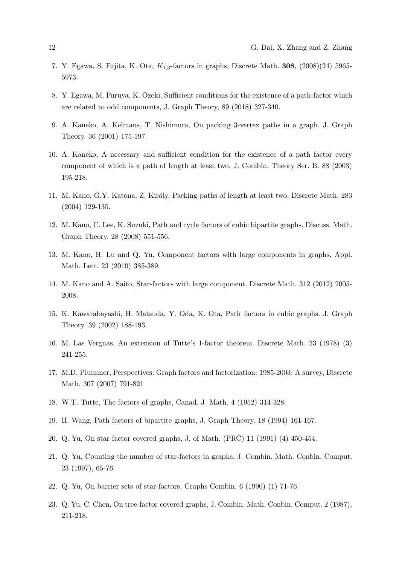- <span id="page-11-4"></span><span id="page-11-1"></span>7. Y. Egawa, S. Fujita, K. Ota,  $K_{1,3}$ -factors in graphs, Discrete Math. 308, (2008)(24) 5965-5973.
- <span id="page-11-2"></span>8. Y. Egawa, M. Furuya, K. Ozeki, Sufficient conditions for the existence of a path-factor which are related to odd components, J. Graph Theory, 89 (2018) 327-340.
- <span id="page-11-12"></span>9. A. Kaneko, A. Kelmans, T. Nishimura, On packing 3-vertex paths in a graph. J. Graph Theory. 36 (2001) 175-197.
- 10. A. Kaneko, A necessary and sufficient condition for the existence of a path factor every component of which is a path of length at least two. J. Combin. Theory Ser. B. 88 (2003) 195-218.
- <span id="page-11-13"></span><span id="page-11-8"></span>11. M. Kano, G.Y. Katona, Z. Kir´aly, Packing paths of length at least two, Discrete Math. 283 (2004) 129-135.
- <span id="page-11-5"></span>12. M. Kano, C. Lee, K. Suzuki, Path and cycle factors of cubic bipartite graphs, Discuss. Math. Graph Theory. 28 (2008) 551-556.
- <span id="page-11-6"></span>13. M. Kano, H. Lu and Q. Yu, Component factors with large components in graphs, Appl. Math. Lett. 23 (2010) 385-389.
- <span id="page-11-9"></span>14. M. Kano and A. Saito, Star-factors with large component. Discrete Math. 312 (2012) 2005- 2008.
- <span id="page-11-11"></span>15. K. Kawarabayashi, H. Matsuda, Y. Oda, K. Ota, Path factors in cubic graphs. J. Graph Theory. 39 (2002) 188-193.
- <span id="page-11-10"></span>16. M. Las Vergnas, An extension of Tutte's 1-factor theorem. Discrete Math. 23 (1978) (3) 241-255.
- <span id="page-11-0"></span>17. M.D. Plummer, Perspectives: Graph factors and factorization: 1985-2003: A survey, Discrete Math. 307 (2007) 791-821
- <span id="page-11-3"></span>18. W.T. Tutte, The factors of graphs, Canad. J. Math. 4 (1952) 314-328.
- <span id="page-11-14"></span>19. H. Wang, Path factors of bipartite graphs, J. Graph Theory. 18 (1994) 161-167.
- 20. Q. Yu, On star factor covered graphs, J. of Math. (PRC) 11 (1991) (4) 450-454.
- <span id="page-11-7"></span>21. Q. Yu, Counting the number of star-factors in graphs, J. Combin. Math. Conbin. Comput. 23 (1997), 65-76.
- <span id="page-11-15"></span>22. Q. Yu, On barrier sets of star-factors, Craphs Combin. 6 (1990) (1) 71-76.
- 23. Q. Yu, C. Chen, On tree-factor covered graphs, J. Combin. Math. Conbin. Comput. 2 (1987), 211-218.